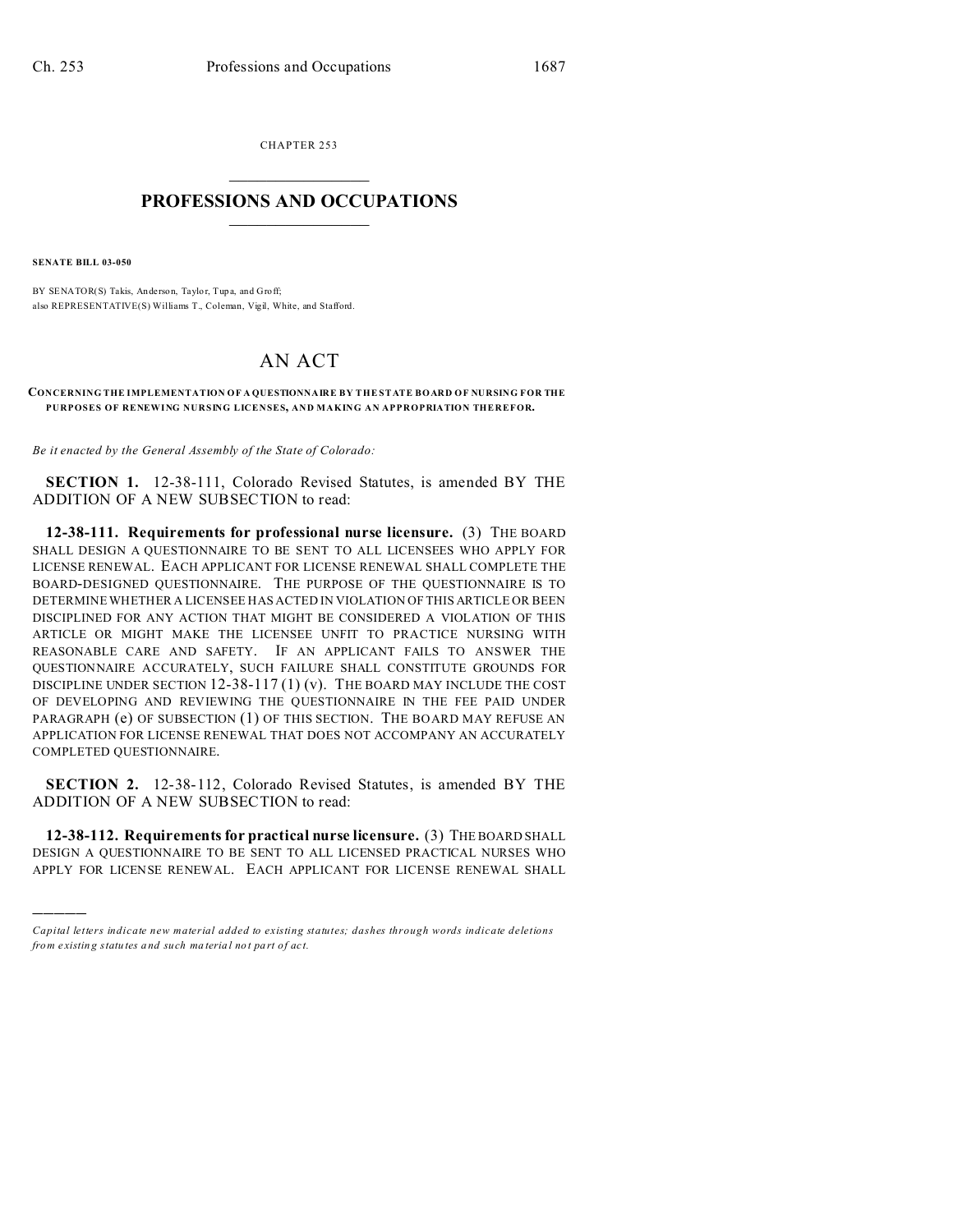CHAPTER 253  $\overline{\phantom{a}}$  , where  $\overline{\phantom{a}}$ 

## **PROFESSIONS AND OCCUPATIONS**  $\frac{1}{2}$  ,  $\frac{1}{2}$  ,  $\frac{1}{2}$  ,  $\frac{1}{2}$  ,  $\frac{1}{2}$  ,  $\frac{1}{2}$

**SENATE BILL 03-050**

)))))

BY SENATOR(S) Takis, Anderson, Taylor, Tupa, and Groff; also REPRESENTATIVE(S) Williams T., Coleman, Vigil, White, and Stafford.

## AN ACT

**CONCERNING THE IMPLEMENTATION OF A QUESTIONNAIRE BY THE STATE BOARD OF NURSING FOR THE PURPOSES OF RENEWING NURSING LICENSES, AND MAKING AN APPROPRIATION THEREFOR.**

*Be it enacted by the General Assembly of the State of Colorado:*

**SECTION 1.** 12-38-111, Colorado Revised Statutes, is amended BY THE ADDITION OF A NEW SUBSECTION to read:

**12-38-111. Requirements for professional nurse licensure.** (3) THE BOARD SHALL DESIGN A QUESTIONNAIRE TO BE SENT TO ALL LICENSEES WHO APPLY FOR LICENSE RENEWAL. EACH APPLICANT FOR LICENSE RENEWAL SHALL COMPLETE THE BOARD-DESIGNED QUESTIONNAIRE. THE PURPOSE OF THE QUESTIONNAIRE IS TO DETERMINE WHETHER A LICENSEE HAS ACTED IN VIOLATION OF THIS ARTICLE OR BEEN DISCIPLINED FOR ANY ACTION THAT MIGHT BE CONSIDERED A VIOLATION OF THIS ARTICLE OR MIGHT MAKE THE LICENSEE UNFIT TO PRACTICE NURSING WITH REASONABLE CARE AND SAFETY. IF AN APPLICANT FAILS TO ANSWER THE QUESTIONNAIRE ACCURATELY, SUCH FAILURE SHALL CONSTITUTE GROUNDS FOR DISCIPLINE UNDER SECTION  $12-38-117(1)(v)$ . The BOARD MAY INCLUDE THE COST OF DEVELOPING AND REVIEWING THE QUESTIONNAIRE IN THE FEE PAID UNDER PARAGRAPH (e) OF SUBSECTION (1) OF THIS SECTION. THE BOARD MAY REFUSE AN APPLICATION FOR LICENSE RENEWAL THAT DOES NOT ACCOMPANY AN ACCURATELY COMPLETED QUESTIONNAIRE.

**SECTION 2.** 12-38-112, Colorado Revised Statutes, is amended BY THE ADDITION OF A NEW SUBSECTION to read:

**12-38-112. Requirements for practical nurse licensure.** (3) THE BOARD SHALL DESIGN A QUESTIONNAIRE TO BE SENT TO ALL LICENSED PRACTICAL NURSES WHO APPLY FOR LICENSE RENEWAL. EACH APPLICANT FOR LICENSE RENEWAL SHALL

*Capital letters indicate new material added to existing statutes; dashes through words indicate deletions from e xistin g statu tes a nd such ma teria l no t pa rt of ac t.*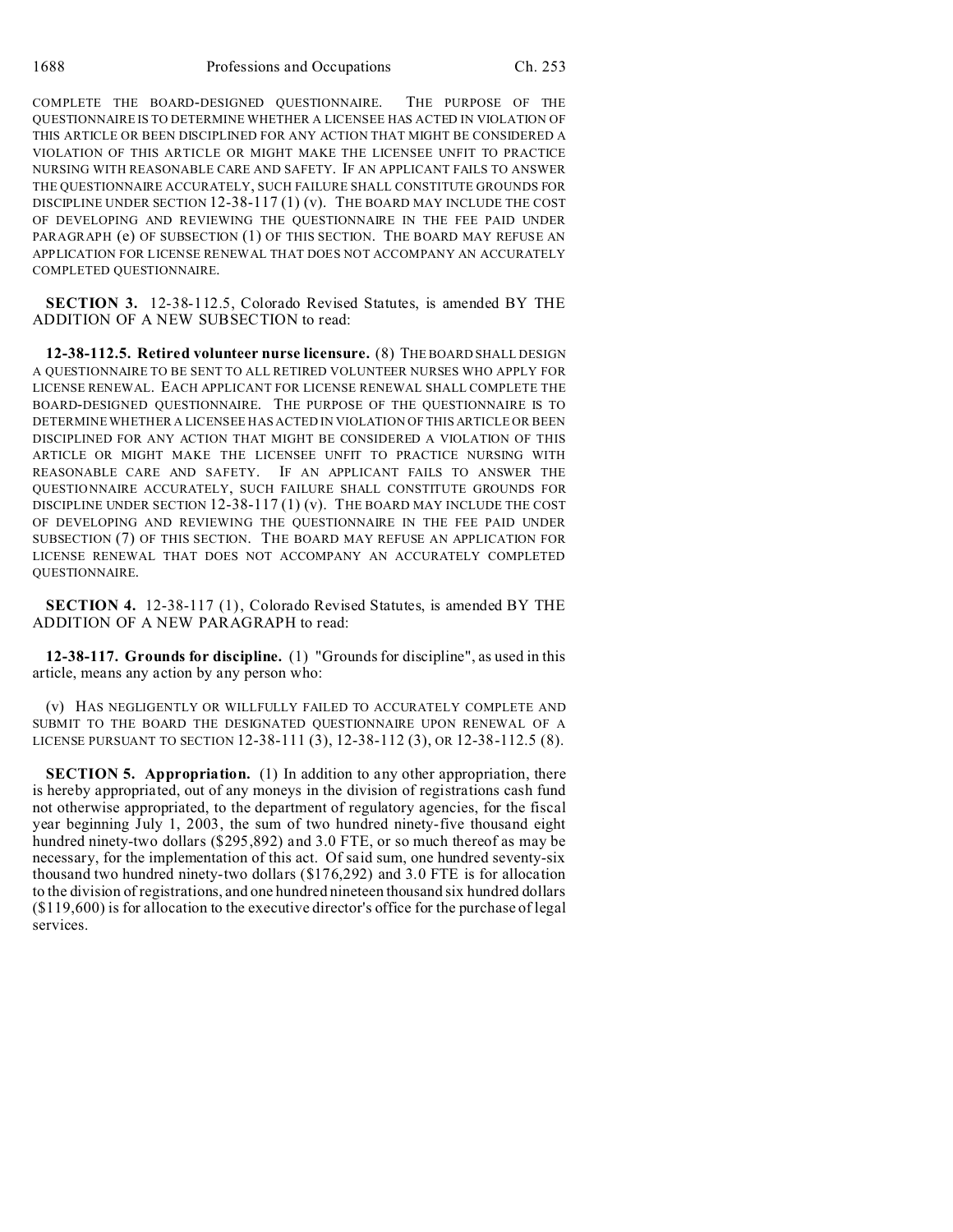COMPLETE THE BOARD-DESIGNED QUESTIONNAIRE. THE PURPOSE OF THE QUESTIONNAIRE IS TO DETERMINE WHETHER A LICENSEE HAS ACTED IN VIOLATION OF THIS ARTICLE OR BEEN DISCIPLINED FOR ANY ACTION THAT MIGHT BE CONSIDERED A VIOLATION OF THIS ARTICLE OR MIGHT MAKE THE LICENSEE UNFIT TO PRACTICE NURSING WITH REASONABLE CARE AND SAFETY. IF AN APPLICANT FAILS TO ANSWER THE QUESTIONNAIRE ACCURATELY, SUCH FAILURE SHALL CONSTITUTE GROUNDS FOR DISCIPLINE UNDER SECTION 12-38-117 (1) (v). THE BOARD MAY INCLUDE THE COST OF DEVELOPING AND REVIEWING THE QUESTIONNAIRE IN THE FEE PAID UNDER PARAGRAPH (e) OF SUBSECTION (1) OF THIS SECTION. THE BOARD MAY REFUSE AN APPLICATION FOR LICENSE RENEWAL THAT DOES NOT ACCOMPANY AN ACCURATELY COMPLETED QUESTIONNAIRE.

**SECTION 3.** 12-38-112.5, Colorado Revised Statutes, is amended BY THE ADDITION OF A NEW SUBSECTION to read:

**12-38-112.5. Retired volunteer nurse licensure.** (8) THE BOARD SHALL DESIGN A QUESTIONNAIRE TO BE SENT TO ALL RETIRED VOLUNTEER NURSES WHO APPLY FOR LICENSE RENEWAL. EACH APPLICANT FOR LICENSE RENEWAL SHALL COMPLETE THE BOARD-DESIGNED QUESTIONNAIRE. THE PURPOSE OF THE QUESTIONNAIRE IS TO DETERMINE WHETHER A LICENSEE HAS ACTED IN VIOLATION OF THIS ARTICLE OR BEEN DISCIPLINED FOR ANY ACTION THAT MIGHT BE CONSIDERED A VIOLATION OF THIS ARTICLE OR MIGHT MAKE THE LICENSEE UNFIT TO PRACTICE NURSING WITH REASONABLE CARE AND SAFETY. IF AN APPLICANT FAILS TO ANSWER THE QUESTIONNAIRE ACCURATELY, SUCH FAILURE SHALL CONSTITUTE GROUNDS FOR DISCIPLINE UNDER SECTION  $12-38-117(1)$  (v). THE BOARD MAY INCLUDE THE COST OF DEVELOPING AND REVIEWING THE QUESTIONNAIRE IN THE FEE PAID UNDER SUBSECTION (7) OF THIS SECTION. THE BOARD MAY REFUSE AN APPLICATION FOR LICENSE RENEWAL THAT DOES NOT ACCOMPANY AN ACCURATELY COMPLETED QUESTIONNAIRE.

**SECTION 4.** 12-38-117 (1), Colorado Revised Statutes, is amended BY THE ADDITION OF A NEW PARAGRAPH to read:

**12-38-117. Grounds for discipline.** (1) "Grounds for discipline", as used in this article, means any action by any person who:

(v) HAS NEGLIGENTLY OR WILLFULLY FAILED TO ACCURATELY COMPLETE AND SUBMIT TO THE BOARD THE DESIGNATED QUESTIONNAIRE UPON RENEWAL OF A LICENSE PURSUANT TO SECTION 12-38-111 (3), 12-38-112 (3), OR 12-38-112.5 (8).

**SECTION 5. Appropriation.** (1) In addition to any other appropriation, there is hereby appropriated, out of any moneys in the division of registrations cash fund not otherwise appropriated, to the department of regulatory agencies, for the fiscal year beginning July 1, 2003, the sum of two hundred ninety-five thousand eight hundred ninety-two dollars (\$295,892) and 3.0 FTE, or so much thereof as may be necessary, for the implementation of this act. Of said sum, one hundred seventy-six thousand two hundred ninety-two dollars (\$176,292) and 3.0 FTE is for allocation to the division of registrations, and one hundred nineteen thousand six hundred dollars (\$119,600) is for allocation to the executive director's office for the purchase of legal services.